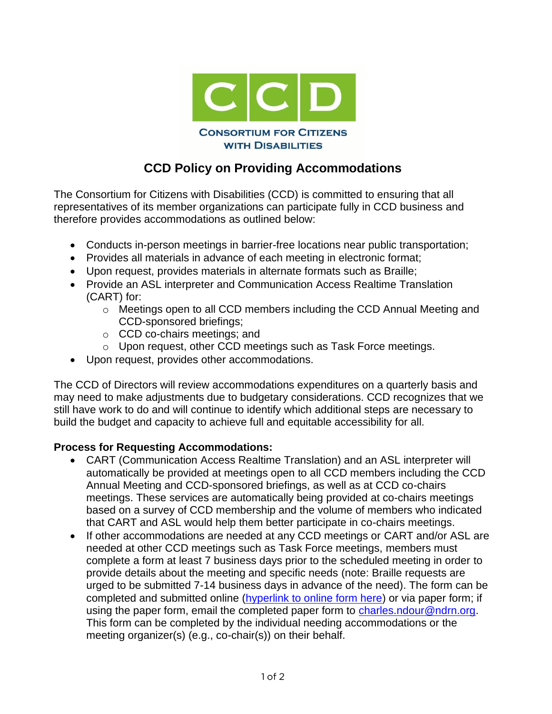

## **CCD Policy on Providing Accommodations**

The Consortium for Citizens with Disabilities (CCD) is committed to ensuring that all representatives of its member organizations can participate fully in CCD business and therefore provides accommodations as outlined below:

- Conducts in-person meetings in barrier-free locations near public transportation;
- Provides all materials in advance of each meeting in electronic format;
- Upon request, provides materials in alternate formats such as Braille;
- Provide an ASL interpreter and Communication Access Realtime Translation (CART) for:
	- o Meetings open to all CCD members including the CCD Annual Meeting and CCD-sponsored briefings;
	- o CCD co-chairs meetings; and
	- o Upon request, other CCD meetings such as Task Force meetings.
- Upon request, provides other accommodations.

The CCD of Directors will review accommodations expenditures on a quarterly basis and may need to make adjustments due to budgetary considerations. CCD recognizes that we still have work to do and will continue to identify which additional steps are necessary to build the budget and capacity to achieve full and equitable accessibility for all.

## **Process for Requesting Accommodations:**

- CART (Communication Access Realtime Translation) and an ASL interpreter will automatically be provided at meetings open to all CCD members including the CCD Annual Meeting and CCD-sponsored briefings, as well as at CCD co-chairs meetings. These services are automatically being provided at co-chairs meetings based on a survey of CCD membership and the volume of members who indicated that CART and ASL would help them better participate in co-chairs meetings.
- If other accommodations are needed at any CCD meetings or CART and/or ASL are needed at other CCD meetings such as Task Force meetings, members must complete a form at least 7 business days prior to the scheduled meeting in order to provide details about the meeting and specific needs (note: Braille requests are urged to be submitted 7-14 business days in advance of the need). The form can be completed and submitted online [\(hyperlink to online form here\)](https://ndrn.formstack.com/forms/requesting_accommodations_for_ccd_meetings) or via paper form; if using the paper form, email the completed paper form to [charles.ndour@ndrn.org.](mailto:charles.ndour@ndrn.org) This form can be completed by the individual needing accommodations or the meeting organizer(s) (e.g., co-chair(s)) on their behalf.